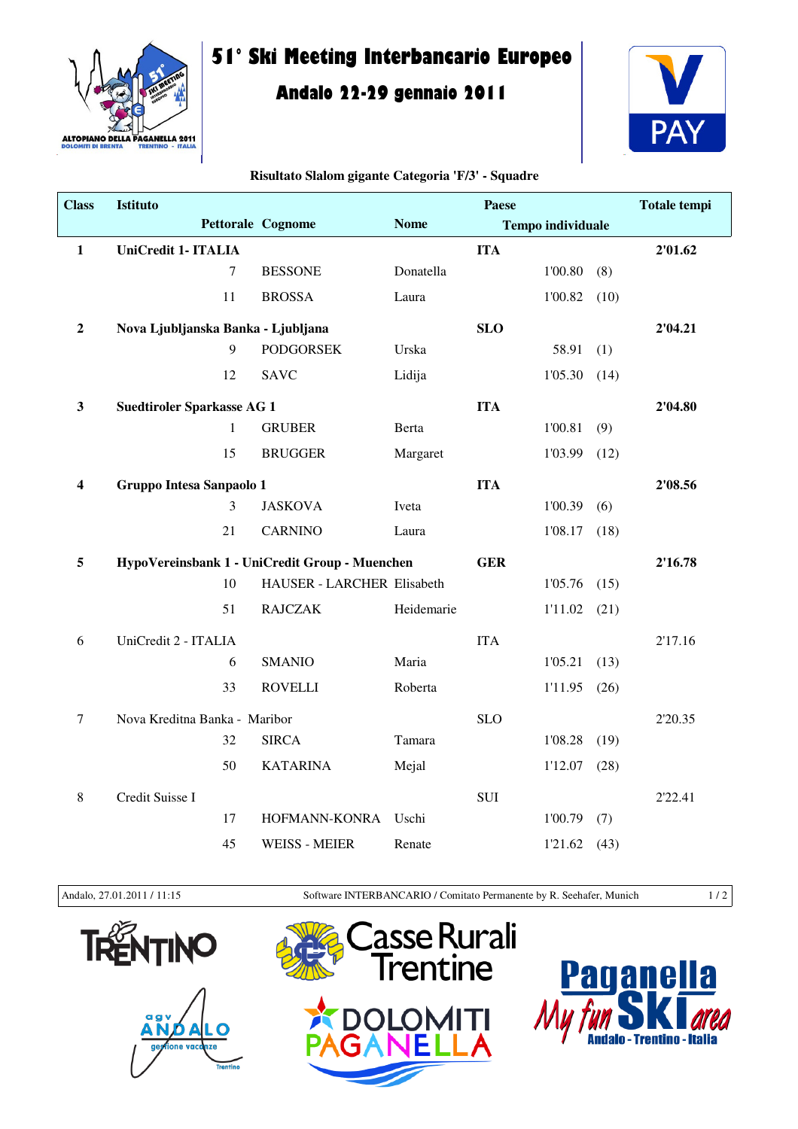

## **51° Ski Meeting Interbancario Europeo**

## **Andalo 22-29 gennaio 2011**



## **Risultato Slalom gigante Categoria 'F/3' - Squadre**

| <b>Class</b>     | <b>Istituto</b>                                |                            |             | Paese      |                          |      | <b>Totale tempi</b> |
|------------------|------------------------------------------------|----------------------------|-------------|------------|--------------------------|------|---------------------|
|                  |                                                | <b>Pettorale Cognome</b>   | <b>Nome</b> |            | <b>Tempo individuale</b> |      |                     |
| $\mathbf{1}$     | UniCredit 1- ITALIA                            |                            |             | <b>ITA</b> |                          |      | 2'01.62             |
|                  | $\tau$                                         | <b>BESSONE</b>             | Donatella   |            | 1'00.80                  | (8)  |                     |
|                  | 11                                             | <b>BROSSA</b>              | Laura       |            | 1'00.82                  | (10) |                     |
| $\mathbf 2$      | Nova Ljubljanska Banka - Ljubljana             |                            |             | <b>SLO</b> |                          |      | 2'04.21             |
|                  | 9                                              | <b>PODGORSEK</b>           | Urska       |            | 58.91                    | (1)  |                     |
|                  | 12                                             | <b>SAVC</b>                | Lidija      |            | 1'05.30                  | (14) |                     |
| $\mathbf{3}$     | <b>Suedtiroler Sparkasse AG 1</b>              |                            |             | <b>ITA</b> |                          |      | 2'04.80             |
|                  | $\mathbf{1}$                                   | <b>GRUBER</b>              | Berta       |            | 1'00.81                  | (9)  |                     |
|                  | 15                                             | <b>BRUGGER</b>             | Margaret    |            | 1'03.99                  | (12) |                     |
| 4                | Gruppo Intesa Sanpaolo 1                       |                            |             | <b>ITA</b> |                          |      | 2'08.56             |
|                  | 3                                              | <b>JASKOVA</b>             | Iveta       |            | 1'00.39                  | (6)  |                     |
|                  | 21                                             | <b>CARNINO</b>             | Laura       |            | 1'08.17                  | (18) |                     |
| 5                | HypoVereinsbank 1 - UniCredit Group - Muenchen |                            |             | <b>GER</b> |                          |      | 2'16.78             |
|                  | 10                                             | HAUSER - LARCHER Elisabeth |             |            | 1'05.76                  | (15) |                     |
|                  | 51                                             | <b>RAJCZAK</b>             | Heidemarie  |            | 1'11.02                  | (21) |                     |
| 6                | UniCredit 2 - ITALIA                           |                            |             | <b>ITA</b> |                          |      | 2'17.16             |
|                  | 6                                              | <b>SMANIO</b>              | Maria       |            | 1'05.21                  | (13) |                     |
|                  | 33                                             | <b>ROVELLI</b>             | Roberta     |            | 1'11.95                  | (26) |                     |
| $\boldsymbol{7}$ | Nova Kreditna Banka - Maribor                  |                            |             | <b>SLO</b> |                          |      | 2'20.35             |
|                  | 32                                             | <b>SIRCA</b>               | Tamara      |            | 1'08.28                  | (19) |                     |
|                  | 50                                             | <b>KATARINA</b>            | Mejal       |            | 1'12.07                  | (28) |                     |
| 8                | Credit Suisse I                                |                            |             | <b>SUI</b> |                          |      | 2'22.41             |
|                  | 17                                             | HOFMANN-KONRA              | Uschi       |            | 1'00.79                  | (7)  |                     |
|                  | 45                                             | <b>WEISS - MEIER</b>       | Renate      |            | 1'21.62                  | (43) |                     |

Andalo, 27.01.2011 / 11:15 Software INTERBANCARIO / Comitato Permanente by R. Seehafer, Munich 1 / 2